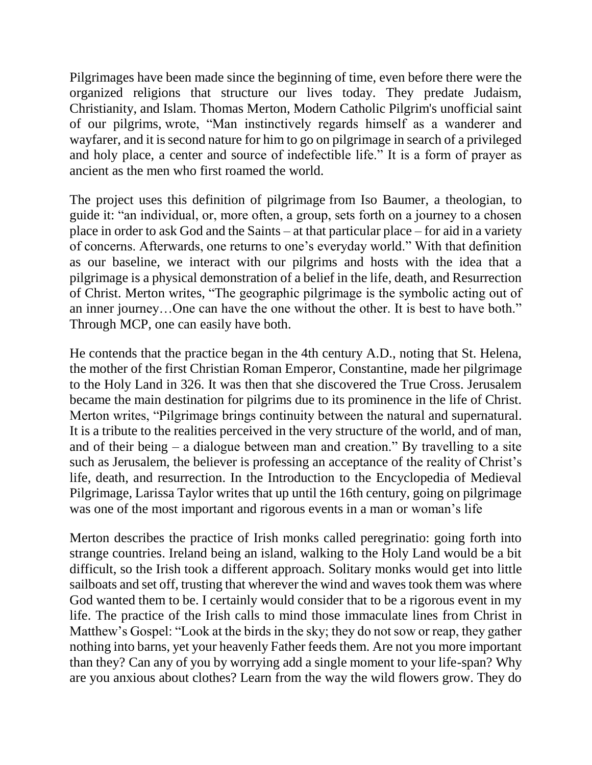Pilgrimages have been made since the beginning of time, even before there were the organized religions that structure our lives today. They predate Judaism, Christianity, and Islam. Thomas Merton, Modern Catholic Pilgrim's unofficial saint of our pilgrims, wrote, "Man instinctively regards himself as a wanderer and wayfarer, and it is second nature for him to go on pilgrimage in search of a privileged and holy place, a center and source of indefectible life." It is a form of prayer as ancient as the men who first roamed the world.

The project uses this definition of pilgrimage from Iso Baumer, a theologian, to guide it: "an individual, or, more often, a group, sets forth on a journey to a chosen place in order to ask God and the Saints – at that particular place – for aid in a variety of concerns. Afterwards, one returns to one's everyday world." With that definition as our baseline, we interact with our pilgrims and hosts with the idea that a pilgrimage is a physical demonstration of a belief in the life, death, and Resurrection of Christ. Merton writes, "The geographic pilgrimage is the symbolic acting out of an inner journey…One can have the one without the other. It is best to have both." Through MCP, one can easily have both.

He contends that the practice began in the 4th century A.D., noting that St. Helena, the mother of the first Christian Roman Emperor, Constantine, made her pilgrimage to the Holy Land in 326. It was then that she discovered the True Cross. Jerusalem became the main destination for pilgrims due to its prominence in the life of Christ. Merton writes, "Pilgrimage brings continuity between the natural and supernatural. It is a tribute to the realities perceived in the very structure of the world, and of man, and of their being – a dialogue between man and creation." By travelling to a site such as Jerusalem, the believer is professing an acceptance of the reality of Christ's life, death, and resurrection. In the Introduction to the Encyclopedia of Medieval Pilgrimage, Larissa Taylor writes that up until the 16th century, going on pilgrimage was one of the most important and rigorous events in a man or woman's life

Merton describes the practice of Irish monks called peregrinatio: going forth into strange countries. Ireland being an island, walking to the Holy Land would be a bit difficult, so the Irish took a different approach. Solitary monks would get into little sailboats and set off, trusting that wherever the wind and waves took them was where God wanted them to be. I certainly would consider that to be a rigorous event in my life. The practice of the Irish calls to mind those immaculate lines from Christ in Matthew's Gospel: "Look at the birds in the sky; they do not sow or reap, they gather nothing into barns, yet your heavenly Father feeds them. Are not you more important than they? Can any of you by worrying add a single moment to your life-span? Why are you anxious about clothes? Learn from the way the wild flowers grow. They do